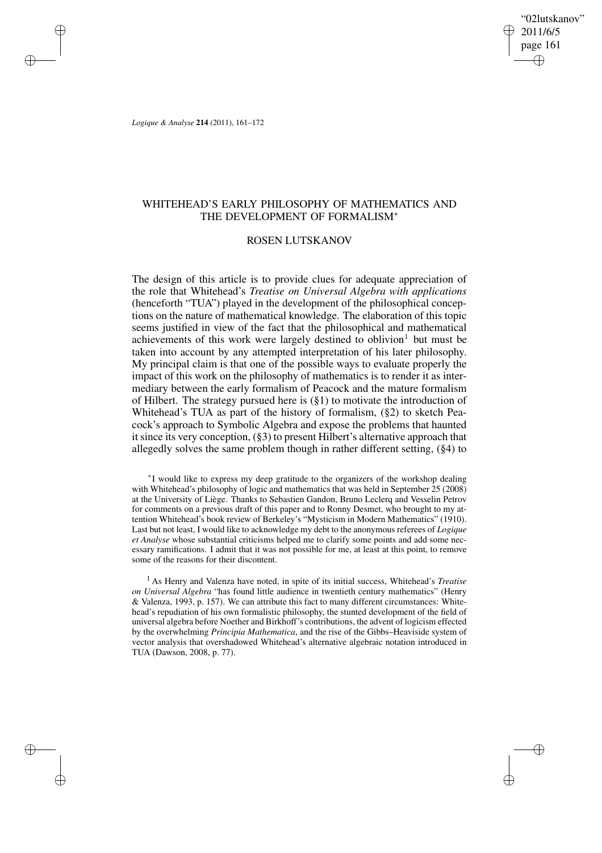"02lutskanov" 2011/6/5 page 161 ✐ ✐

✐

✐

*Logique & Analyse* **214** (2011), 161–172

✐

✐

✐

✐

## WHITEHEAD'S EARLY PHILOSOPHY OF MATHEMATICS AND THE DEVELOPMENT OF FORMALISM<sup>∗</sup>

### ROSEN LUTSKANOV

The design of this article is to provide clues for adequate appreciation of the role that Whitehead's *Treatise on Universal Algebra with applications* (henceforth "TUA") played in the development of the philosophical conceptions on the nature of mathematical knowledge. The elaboration of this topic seems justified in view of the fact that the philosophical and mathematical achievements of this work were largely destined to oblivion<sup>1</sup> but must be taken into account by any attempted interpretation of his later philosophy. My principal claim is that one of the possible ways to evaluate properly the impact of this work on the philosophy of mathematics is to render it as intermediary between the early formalism of Peacock and the mature formalism of Hilbert. The strategy pursued here is (§1) to motivate the introduction of Whitehead's TUA as part of the history of formalism, (§2) to sketch Peacock's approach to Symbolic Algebra and expose the problems that haunted it since its very conception, (§3) to present Hilbert's alternative approach that allegedly solves the same problem though in rather different setting, (§4) to

∗ I would like to express my deep gratitude to the organizers of the workshop dealing with Whitehead's philosophy of logic and mathematics that was held in September 25 (2008) at the University of Liège. Thanks to Sebastien Gandon, Bruno Leclerq and Vesselin Petrov for comments on a previous draft of this paper and to Ronny Desmet, who brought to my attention Whitehead's book review of Berkeley's "Mysticism in Modern Mathematics" (1910). Last but not least, I would like to acknowledge my debt to the anonymous referees of *Logique et Analyse* whose substantial criticisms helped me to clarify some points and add some necessary ramifications. I admit that it was not possible for me, at least at this point, to remove some of the reasons for their discontent.

<sup>1</sup> As Henry and Valenza have noted, in spite of its initial success, Whitehead's *Treatise on Universal Algebra* "has found little audience in twentieth century mathematics" (Henry & Valenza, 1993, p. 157). We can attribute this fact to many different circumstances: Whitehead's repudiation of his own formalistic philosophy, the stunted development of the field of universal algebra before Noether and Birkhoff's contributions, the advent of logicism effected by the overwhelming *Principia Mathematica*, and the rise of the Gibbs–Heaviside system of vector analysis that overshadowed Whitehead's alternative algebraic notation introduced in TUA (Dawson, 2008, p. 77).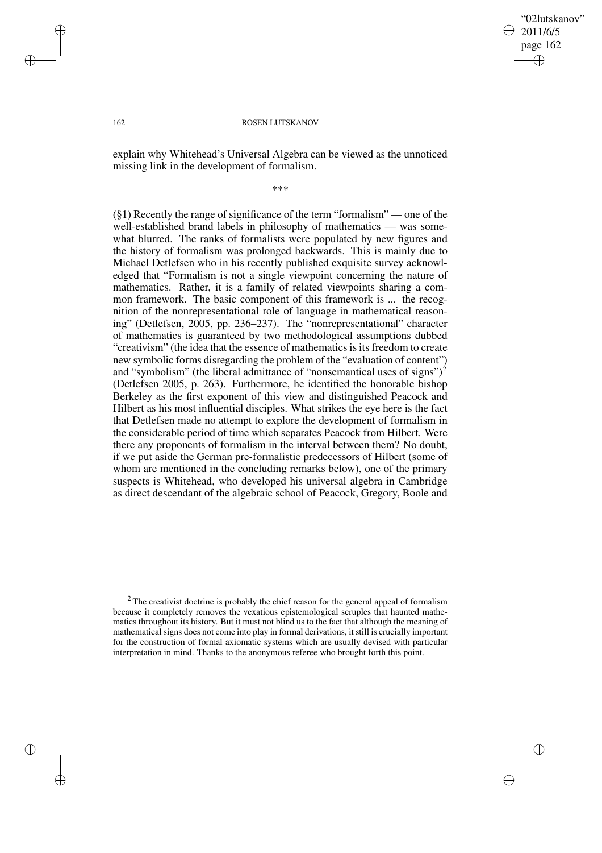✐

✐

### 162 ROSEN LUTSKANOV

explain why Whitehead's Universal Algebra can be viewed as the unnoticed missing link in the development of formalism.

\*\*\*

(§1) Recently the range of significance of the term "formalism" — one of the well-established brand labels in philosophy of mathematics — was somewhat blurred. The ranks of formalists were populated by new figures and the history of formalism was prolonged backwards. This is mainly due to Michael Detlefsen who in his recently published exquisite survey acknowledged that "Formalism is not a single viewpoint concerning the nature of mathematics. Rather, it is a family of related viewpoints sharing a common framework. The basic component of this framework is ... the recognition of the nonrepresentational role of language in mathematical reasoning" (Detlefsen, 2005, pp. 236–237). The "nonrepresentational" character of mathematics is guaranteed by two methodological assumptions dubbed "creativism" (the idea that the essence of mathematics is its freedom to create new symbolic forms disregarding the problem of the "evaluation of content") and "symbolism" (the liberal admittance of "nonsemantical uses of signs")<sup>2</sup> (Detlefsen 2005, p. 263). Furthermore, he identified the honorable bishop Berkeley as the first exponent of this view and distinguished Peacock and Hilbert as his most influential disciples. What strikes the eye here is the fact that Detlefsen made no attempt to explore the development of formalism in the considerable period of time which separates Peacock from Hilbert. Were there any proponents of formalism in the interval between them? No doubt, if we put aside the German pre-formalistic predecessors of Hilbert (some of whom are mentioned in the concluding remarks below), one of the primary suspects is Whitehead, who developed his universal algebra in Cambridge as direct descendant of the algebraic school of Peacock, Gregory, Boole and

✐

✐

✐

 $2$ The creativist doctrine is probably the chief reason for the general appeal of formalism because it completely removes the vexatious epistemological scruples that haunted mathematics throughout its history. But it must not blind us to the fact that although the meaning of mathematical signs does not come into play in formal derivations, it still is crucially important for the construction of formal axiomatic systems which are usually devised with particular interpretation in mind. Thanks to the anonymous referee who brought forth this point.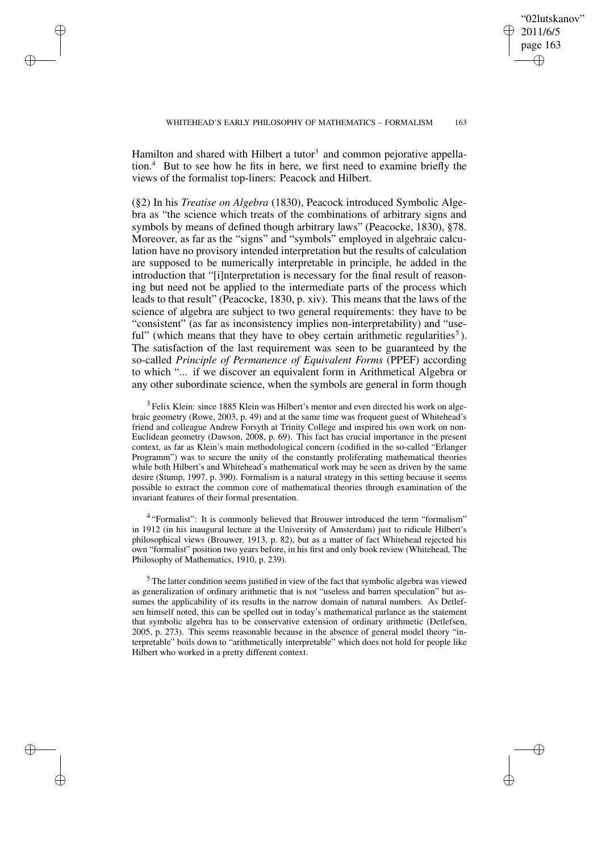WHITEHEAD'S EARLY PHILOSOPHY OF MATHEMATICS - FORMALISM 163

"02lutskanov" 2011/6/5 page 163

✐

✐

✐

✐

Hamilton and shared with Hilbert a tutor<sup>3</sup> and common pejorative appellation.<sup>4</sup> But to see how he fits in here, we first need to examine briefly the views of the formalist top-liners: Peacock and Hilbert.

✐

✐

✐

✐

(§2) In his *Treatise on Algebra* (1830), Peacock introduced Symbolic Algebra as "the science which treats of the combinations of arbitrary signs and symbols by means of defined though arbitrary laws" (Peacocke, 1830), §78. Moreover, as far as the "signs" and "symbols" employed in algebraic calculation have no provisory intended interpretation but the results of calculation are supposed to be numerically interpretable in principle, he added in the introduction that "[i]nterpretation is necessary for the final result of reasoning but need not be applied to the intermediate parts of the process which leads to that result" (Peacocke, 1830, p. xiv). This means that the laws of the science of algebra are subject to two general requirements: they have to be "consistent" (as far as inconsistency implies non-interpretability) and "useful" (which means that they have to obey certain arithmetic regularities<sup>5</sup>). The satisfaction of the last requirement was seen to be guaranteed by the so-called *Principle of Permanence of Equivalent Forms* (PPEF) according to which "... if we discover an equivalent form in Arithmetical Algebra or any other subordinate science, when the symbols are general in form though

<sup>3</sup> Felix Klein: since 1885 Klein was Hilbert's mentor and even directed his work on algebraic geometry (Rowe, 2003, p. 49) and at the same time was frequent guest of Whitehead's friend and colleague Andrew Forsyth at Trinity College and inspired his own work on non-Euclidean geometry (Dawson, 2008, p. 69). This fact has crucial importance in the present context, as far as Klein's main methodological concern (codified in the so-called "Erlanger Programm") was to secure the unity of the constantly proliferating mathematical theories while both Hilbert's and Whitehead's mathematical work may be seen as driven by the same desire (Stump, 1997, p. 390). Formalism is a natural strategy in this setting because it seems possible to extract the common core of mathematical theories through examination of the invariant features of their formal presentation.

<sup>4</sup> "Formalist": It is commonly believed that Brouwer introduced the term "formalism" in 1912 (in his inaugural lecture at the University of Amsterdam) just to ridicule Hilbert's philosophical views (Brouwer, 1913, p. 82), but as a matter of fact Whitehead rejected his own "formalist" position two years before, in his first and only book review (Whitehead, The Philosophy of Mathematics, 1910, p. 239).

<sup>5</sup> The latter condition seems justified in view of the fact that symbolic algebra was viewed as generalization of ordinary arithmetic that is not "useless and barren speculation" but assumes the applicability of its results in the narrow domain of natural numbers. As Detlefsen himself noted, this can be spelled out in today's mathematical parlance as the statement that symbolic algebra has to be conservative extension of ordinary arithmetic (Detlefsen, 2005, p. 273). This seems reasonable because in the absence of general model theory "interpretable" boils down to "arithmetically interpretable" which does not hold for people like Hilbert who worked in a pretty different context.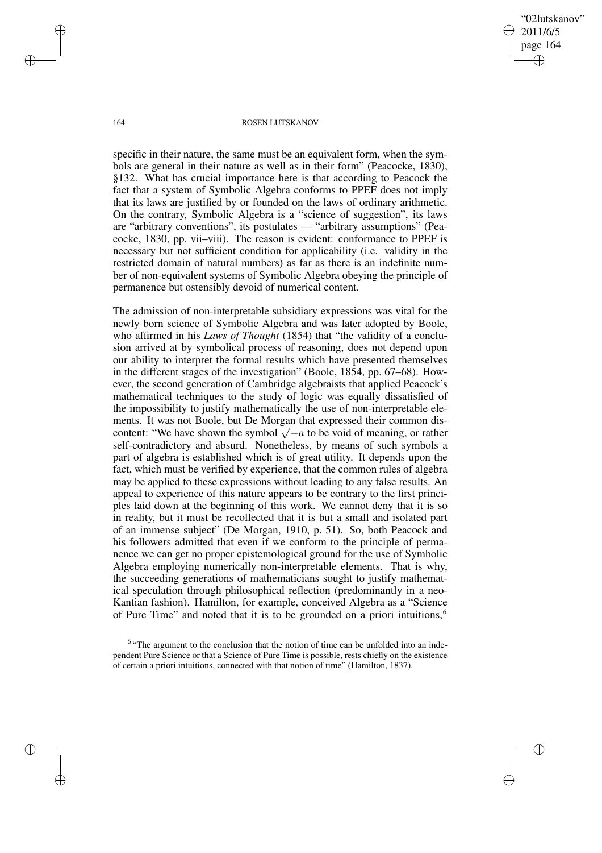"02lutskanov" 2011/6/5 page 164 ✐ ✐

✐

✐

#### 164 ROSEN LUTSKANOV

specific in their nature, the same must be an equivalent form, when the symbols are general in their nature as well as in their form" (Peacocke, 1830), §132. What has crucial importance here is that according to Peacock the fact that a system of Symbolic Algebra conforms to PPEF does not imply that its laws are justified by or founded on the laws of ordinary arithmetic. On the contrary, Symbolic Algebra is a "science of suggestion", its laws are "arbitrary conventions", its postulates — "arbitrary assumptions" (Peacocke, 1830, pp. vii–viii). The reason is evident: conformance to PPEF is necessary but not sufficient condition for applicability (i.e. validity in the restricted domain of natural numbers) as far as there is an indefinite number of non-equivalent systems of Symbolic Algebra obeying the principle of permanence but ostensibly devoid of numerical content.

The admission of non-interpretable subsidiary expressions was vital for the newly born science of Symbolic Algebra and was later adopted by Boole, who affirmed in his *Laws of Thought* (1854) that "the validity of a conclusion arrived at by symbolical process of reasoning, does not depend upon our ability to interpret the formal results which have presented themselves in the different stages of the investigation" (Boole, 1854, pp. 67–68). However, the second generation of Cambridge algebraists that applied Peacock's mathematical techniques to the study of logic was equally dissatisfied of the impossibility to justify mathematically the use of non-interpretable elements. It was not Boole, but De Morgan that expressed their common discontent: "We have shown the symbol  $\sqrt{-a}$  to be void of meaning, or rather self-contradictory and absurd. Nonetheless, by means of such symbols a part of algebra is established which is of great utility. It depends upon the fact, which must be verified by experience, that the common rules of algebra may be applied to these expressions without leading to any false results. An appeal to experience of this nature appears to be contrary to the first principles laid down at the beginning of this work. We cannot deny that it is so in reality, but it must be recollected that it is but a small and isolated part of an immense subject" (De Morgan, 1910, p. 51). So, both Peacock and his followers admitted that even if we conform to the principle of permanence we can get no proper epistemological ground for the use of Symbolic Algebra employing numerically non-interpretable elements. That is why, the succeeding generations of mathematicians sought to justify mathematical speculation through philosophical reflection (predominantly in a neo-Kantian fashion). Hamilton, for example, conceived Algebra as a "Science of Pure Time" and noted that it is to be grounded on a priori intuitions,<sup>6</sup>

✐

✐

✐

<sup>&</sup>lt;sup>6</sup> "The argument to the conclusion that the notion of time can be unfolded into an independent Pure Science or that a Science of Pure Time is possible, rests chiefly on the existence of certain a priori intuitions, connected with that notion of time" (Hamilton, 1837).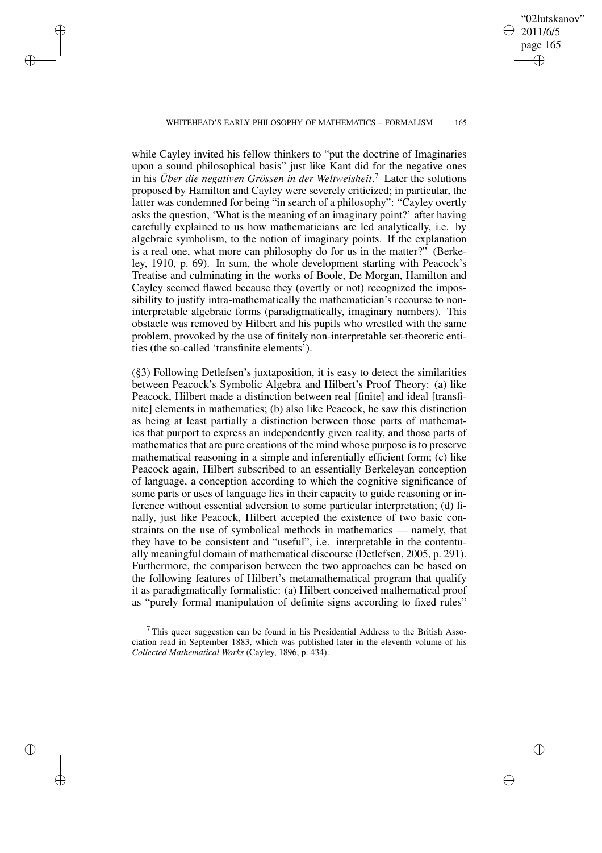### WHITEHEAD'S EARLY PHILOSOPHY OF MATHEMATICS – FORMALISM 165

✐

✐

✐

✐

while Cayley invited his fellow thinkers to "put the doctrine of Imaginaries upon a sound philosophical basis" just like Kant did for the negative ones in his *Über die negativen Grössen in der Weltweisheit*. <sup>7</sup> Later the solutions proposed by Hamilton and Cayley were severely criticized; in particular, the latter was condemned for being "in search of a philosophy": "Cayley overtly asks the question, 'What is the meaning of an imaginary point?' after having carefully explained to us how mathematicians are led analytically, i.e. by algebraic symbolism, to the notion of imaginary points. If the explanation is a real one, what more can philosophy do for us in the matter?" (Berkeley, 1910, p. 69). In sum, the whole development starting with Peacock's Treatise and culminating in the works of Boole, De Morgan, Hamilton and Cayley seemed flawed because they (overtly or not) recognized the impossibility to justify intra-mathematically the mathematician's recourse to noninterpretable algebraic forms (paradigmatically, imaginary numbers). This obstacle was removed by Hilbert and his pupils who wrestled with the same problem, provoked by the use of finitely non-interpretable set-theoretic entities (the so-called 'transfinite elements').

(§3) Following Detlefsen's juxtaposition, it is easy to detect the similarities between Peacock's Symbolic Algebra and Hilbert's Proof Theory: (a) like Peacock, Hilbert made a distinction between real [finite] and ideal [transfinite] elements in mathematics; (b) also like Peacock, he saw this distinction as being at least partially a distinction between those parts of mathematics that purport to express an independently given reality, and those parts of mathematics that are pure creations of the mind whose purpose is to preserve mathematical reasoning in a simple and inferentially efficient form; (c) like Peacock again, Hilbert subscribed to an essentially Berkeleyan conception of language, a conception according to which the cognitive significance of some parts or uses of language lies in their capacity to guide reasoning or inference without essential adversion to some particular interpretation; (d) finally, just like Peacock, Hilbert accepted the existence of two basic constraints on the use of symbolical methods in mathematics — namely, that they have to be consistent and "useful", i.e. interpretable in the contentually meaningful domain of mathematical discourse (Detlefsen, 2005, p. 291). Furthermore, the comparison between the two approaches can be based on the following features of Hilbert's metamathematical program that qualify it as paradigmatically formalistic: (a) Hilbert conceived mathematical proof as "purely formal manipulation of definite signs according to fixed rules"

"02lutskanov" 2011/6/5 page 165

✐

✐

✐

 $7$ This queer suggestion can be found in his Presidential Address to the British Association read in September 1883, which was published later in the eleventh volume of his *Collected Mathematical Works* (Cayley, 1896, p. 434).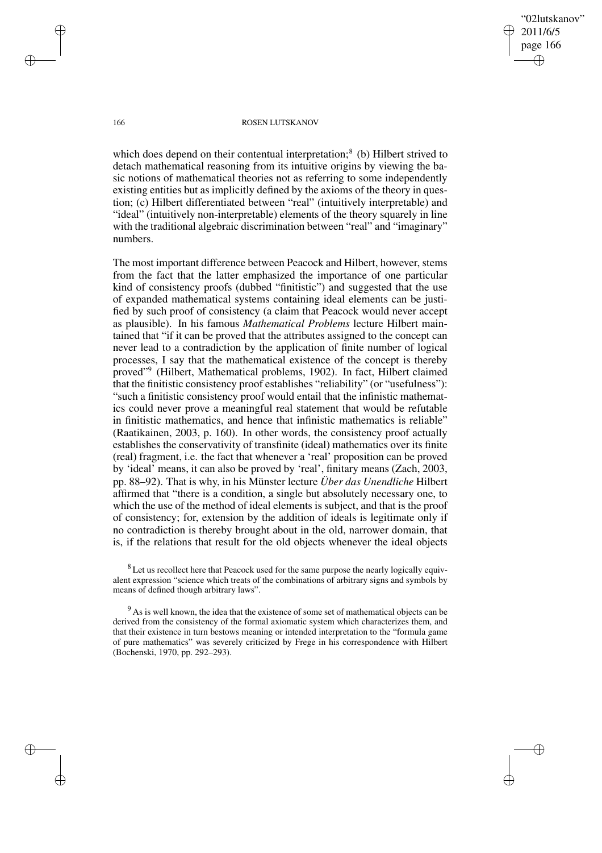"02lutskanov" 2011/6/5 page 166 ✐ ✐

✐

✐

#### 166 ROSEN LUTSKANOV

which does depend on their contentual interpretation;<sup>8</sup> (b) Hilbert strived to detach mathematical reasoning from its intuitive origins by viewing the basic notions of mathematical theories not as referring to some independently existing entities but as implicitly defined by the axioms of the theory in question; (c) Hilbert differentiated between "real" (intuitively interpretable) and "ideal" (intuitively non-interpretable) elements of the theory squarely in line with the traditional algebraic discrimination between "real" and "imaginary" numbers.

The most important difference between Peacock and Hilbert, however, stems from the fact that the latter emphasized the importance of one particular kind of consistency proofs (dubbed "finitistic") and suggested that the use of expanded mathematical systems containing ideal elements can be justified by such proof of consistency (a claim that Peacock would never accept as plausible). In his famous *Mathematical Problems* lecture Hilbert maintained that "if it can be proved that the attributes assigned to the concept can never lead to a contradiction by the application of finite number of logical processes, I say that the mathematical existence of the concept is thereby proved"<sup>9</sup> (Hilbert, Mathematical problems, 1902). In fact, Hilbert claimed that the finitistic consistency proof establishes "reliability" (or "usefulness"): "such a finitistic consistency proof would entail that the infinistic mathematics could never prove a meaningful real statement that would be refutable in finitistic mathematics, and hence that infinistic mathematics is reliable" (Raatikainen, 2003, p. 160). In other words, the consistency proof actually establishes the conservativity of transfinite (ideal) mathematics over its finite (real) fragment, i.e. the fact that whenever a 'real' proposition can be proved by 'ideal' means, it can also be proved by 'real', finitary means (Zach, 2003, pp. 88–92). That is why, in his Münster lecture *Über das Unendliche* Hilbert affirmed that "there is a condition, a single but absolutely necessary one, to which the use of the method of ideal elements is subject, and that is the proof of consistency; for, extension by the addition of ideals is legitimate only if no contradiction is thereby brought about in the old, narrower domain, that is, if the relations that result for the old objects whenever the ideal objects

<sup>8</sup> Let us recollect here that Peacock used for the same purpose the nearly logically equivalent expression "science which treats of the combinations of arbitrary signs and symbols by means of defined though arbitrary laws".

<sup>9</sup> As is well known, the idea that the existence of some set of mathematical objects can be derived from the consistency of the formal axiomatic system which characterizes them, and that their existence in turn bestows meaning or intended interpretation to the "formula game of pure mathematics" was severely criticized by Frege in his correspondence with Hilbert (Bochenski, 1970, pp. 292–293).

✐

✐

✐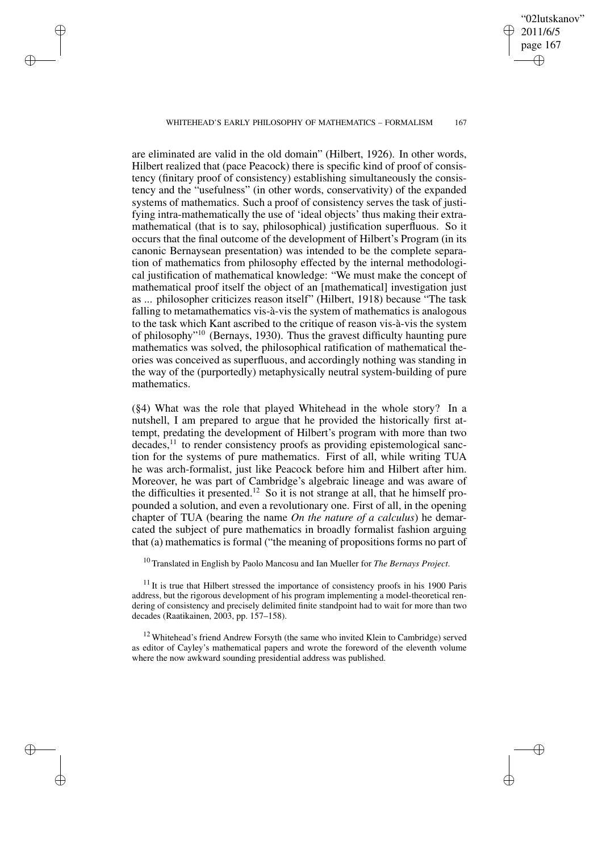#### WHITEHEAD'S EARLY PHILOSOPHY OF MATHEMATICS - FORMALISM 167

✐

✐

✐

✐

"02lutskanov" 2011/6/5 page 167

✐

✐

✐

✐

are eliminated are valid in the old domain" (Hilbert, 1926). In other words, Hilbert realized that (pace Peacock) there is specific kind of proof of consistency (finitary proof of consistency) establishing simultaneously the consistency and the "usefulness" (in other words, conservativity) of the expanded systems of mathematics. Such a proof of consistency serves the task of justifying intra-mathematically the use of 'ideal objects' thus making their extramathematical (that is to say, philosophical) justification superfluous. So it occurs that the final outcome of the development of Hilbert's Program (in its canonic Bernaysean presentation) was intended to be the complete separation of mathematics from philosophy effected by the internal methodological justification of mathematical knowledge: "We must make the concept of mathematical proof itself the object of an [mathematical] investigation just as ... philosopher criticizes reason itself" (Hilbert, 1918) because "The task falling to metamathematics vis-à-vis the system of mathematics is analogous to the task which Kant ascribed to the critique of reason vis-à-vis the system of philosophy"<sup>10</sup> (Bernays, 1930). Thus the gravest difficulty haunting pure mathematics was solved, the philosophical ratification of mathematical theories was conceived as superfluous, and accordingly nothing was standing in the way of the (purportedly) metaphysically neutral system-building of pure mathematics.

(§4) What was the role that played Whitehead in the whole story? In a nutshell, I am prepared to argue that he provided the historically first attempt, predating the development of Hilbert's program with more than two decades,<sup>11</sup> to render consistency proofs as providing epistemological sanction for the systems of pure mathematics. First of all, while writing TUA he was arch-formalist, just like Peacock before him and Hilbert after him. Moreover, he was part of Cambridge's algebraic lineage and was aware of the difficulties it presented.<sup>12</sup> So it is not strange at all, that he himself propounded a solution, and even a revolutionary one. First of all, in the opening chapter of TUA (bearing the name *On the nature of a calculus*) he demarcated the subject of pure mathematics in broadly formalist fashion arguing that (a) mathematics is formal ("the meaning of propositions forms no part of

<sup>10</sup> Translated in English by Paolo Mancosu and Ian Mueller for *The Bernays Project*.

 $11$  It is true that Hilbert stressed the importance of consistency proofs in his 1900 Paris address, but the rigorous development of his program implementing a model-theoretical rendering of consistency and precisely delimited finite standpoint had to wait for more than two decades (Raatikainen, 2003, pp. 157–158).

<sup>12</sup> Whitehead's friend Andrew Forsyth (the same who invited Klein to Cambridge) served as editor of Cayley's mathematical papers and wrote the foreword of the eleventh volume where the now awkward sounding presidential address was published.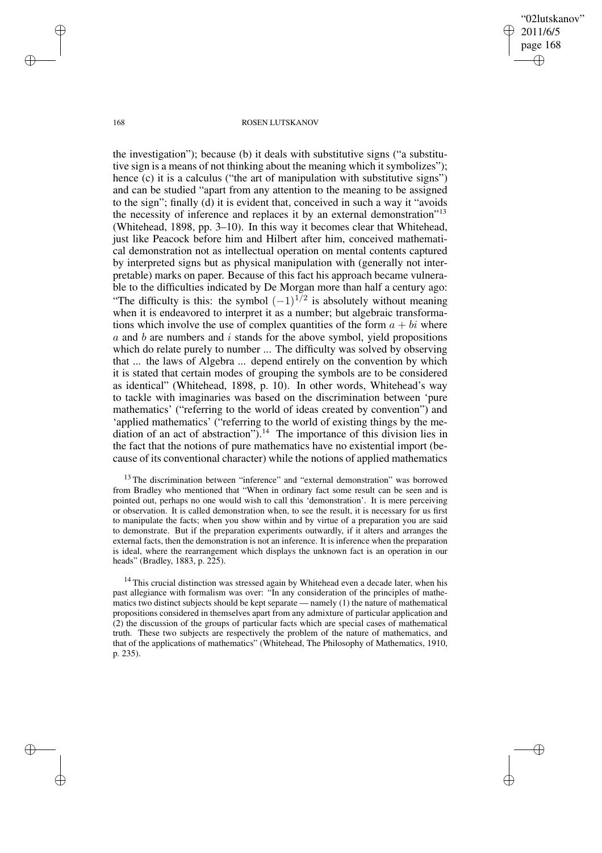"02lutskanov" 2011/6/5 page 168 ✐ ✐

✐

✐

#### 168 ROSEN LUTSKANOV

the investigation"); because (b) it deals with substitutive signs ("a substitutive sign is a means of not thinking about the meaning which it symbolizes"); hence (c) it is a calculus ("the art of manipulation with substitutive signs") and can be studied "apart from any attention to the meaning to be assigned to the sign"; finally (d) it is evident that, conceived in such a way it "avoids the necessity of inference and replaces it by an external demonstration"<sup>13</sup> (Whitehead, 1898, pp. 3–10). In this way it becomes clear that Whitehead, just like Peacock before him and Hilbert after him, conceived mathematical demonstration not as intellectual operation on mental contents captured by interpreted signs but as physical manipulation with (generally not interpretable) marks on paper. Because of this fact his approach became vulnerable to the difficulties indicated by De Morgan more than half a century ago: "The difficulty is this: the symbol  $(-1)^{1/2}$  is absolutely without meaning<br>when it is andequated to interpret it as a number; but algebraic transformawhen it is endeavored to interpret it as a number; but algebraic transformations which involve the use of complex quantities of the form  $a + bi$  where  $a$  and  $b$  are numbers and  $i$  stands for the above symbol, yield propositions which do relate purely to number ... The difficulty was solved by observing that ... the laws of Algebra ... depend entirely on the convention by which it is stated that certain modes of grouping the symbols are to be considered as identical" (Whitehead, 1898, p. 10). In other words, Whitehead's way to tackle with imaginaries was based on the discrimination between 'pure mathematics' ("referring to the world of ideas created by convention") and 'applied mathematics' ("referring to the world of existing things by the mediation of an act of abstraction").<sup>14</sup> The importance of this division lies in the fact that the notions of pure mathematics have no existential import (because of its conventional character) while the notions of applied mathematics

 $13$  The discrimination between "inference" and "external demonstration" was borrowed from Bradley who mentioned that "When in ordinary fact some result can be seen and is pointed out, perhaps no one would wish to call this 'demonstration'. It is mere perceiving or observation. It is called demonstration when, to see the result, it is necessary for us first to manipulate the facts; when you show within and by virtue of a preparation you are said to demonstrate. But if the preparation experiments outwardly, if it alters and arranges the external facts, then the demonstration is not an inference. It is inference when the preparation is ideal, where the rearrangement which displays the unknown fact is an operation in our heads" (Bradley, 1883, p. 225).

 $14$  This crucial distinction was stressed again by Whitehead even a decade later, when his past allegiance with formalism was over: "In any consideration of the principles of mathematics two distinct subjects should be kept separate — namely (1) the nature of mathematical propositions considered in themselves apart from any admixture of particular application and (2) the discussion of the groups of particular facts which are special cases of mathematical truth. These two subjects are respectively the problem of the nature of mathematics, and that of the applications of mathematics" (Whitehead, The Philosophy of Mathematics, 1910, p. 235).

✐

✐

✐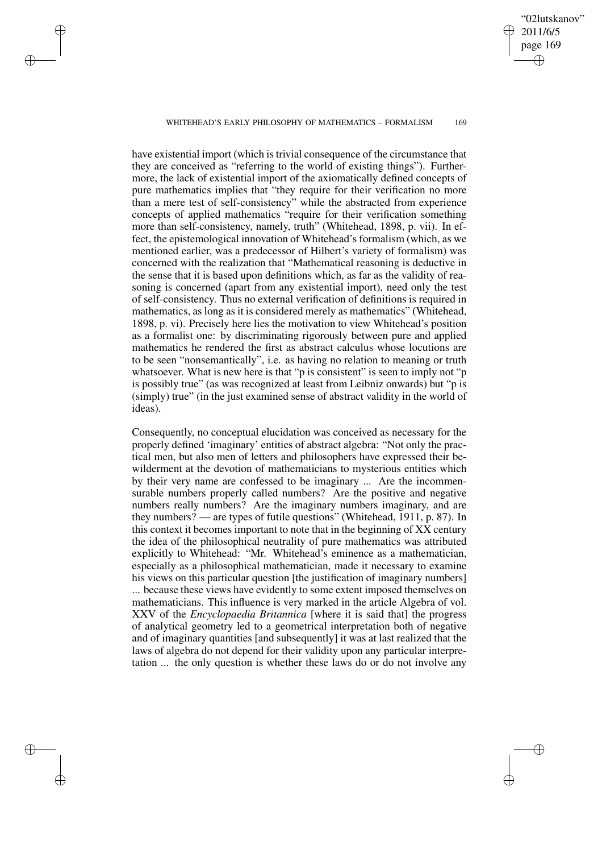#### WHITEHEAD'S EARLY PHILOSOPHY OF MATHEMATICS – FORMALISM 169

✐

✐

✐

✐

"02lutskanov" 2011/6/5 page 169

✐

✐

✐

✐

have existential import (which is trivial consequence of the circumstance that they are conceived as "referring to the world of existing things"). Furthermore, the lack of existential import of the axiomatically defined concepts of pure mathematics implies that "they require for their verification no more than a mere test of self-consistency" while the abstracted from experience concepts of applied mathematics "require for their verification something more than self-consistency, namely, truth" (Whitehead, 1898, p. vii). In effect, the epistemological innovation of Whitehead's formalism (which, as we mentioned earlier, was a predecessor of Hilbert's variety of formalism) was concerned with the realization that "Mathematical reasoning is deductive in the sense that it is based upon definitions which, as far as the validity of reasoning is concerned (apart from any existential import), need only the test of self-consistency. Thus no external verification of definitions is required in mathematics, as long as it is considered merely as mathematics" (Whitehead, 1898, p. vi). Precisely here lies the motivation to view Whitehead's position as a formalist one: by discriminating rigorously between pure and applied mathematics he rendered the first as abstract calculus whose locutions are to be seen "nonsemantically", i.e. as having no relation to meaning or truth whatsoever. What is new here is that "p is consistent" is seen to imply not "p is possibly true" (as was recognized at least from Leibniz onwards) but "p is (simply) true" (in the just examined sense of abstract validity in the world of ideas).

Consequently, no conceptual elucidation was conceived as necessary for the properly defined 'imaginary' entities of abstract algebra: "Not only the practical men, but also men of letters and philosophers have expressed their bewilderment at the devotion of mathematicians to mysterious entities which by their very name are confessed to be imaginary ... Are the incommensurable numbers properly called numbers? Are the positive and negative numbers really numbers? Are the imaginary numbers imaginary, and are they numbers? — are types of futile questions" (Whitehead, 1911, p. 87). In this context it becomes important to note that in the beginning of XX century the idea of the philosophical neutrality of pure mathematics was attributed explicitly to Whitehead: "Mr. Whitehead's eminence as a mathematician, especially as a philosophical mathematician, made it necessary to examine his views on this particular question [the justification of imaginary numbers] ... because these views have evidently to some extent imposed themselves on mathematicians. This influence is very marked in the article Algebra of vol. XXV of the *Encyclopaedia Britannica* [where it is said that] the progress of analytical geometry led to a geometrical interpretation both of negative and of imaginary quantities [and subsequently] it was at last realized that the laws of algebra do not depend for their validity upon any particular interpretation ... the only question is whether these laws do or do not involve any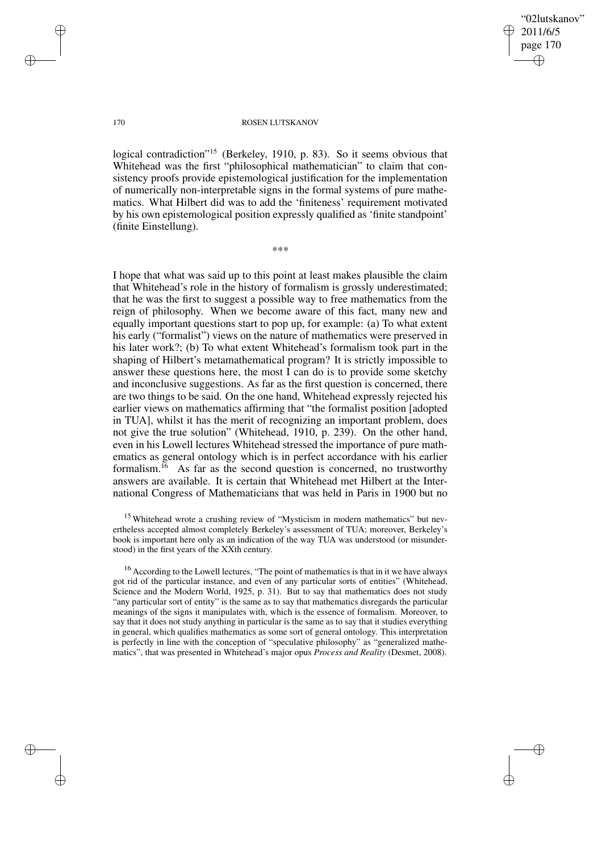✐

✐

#### 170 ROSEN LUTSKANOV

logical contradiction"<sup>15</sup> (Berkeley, 1910, p. 83). So it seems obvious that Whitehead was the first "philosophical mathematician" to claim that consistency proofs provide epistemological justification for the implementation of numerically non-interpretable signs in the formal systems of pure mathematics. What Hilbert did was to add the 'finiteness' requirement motivated by his own epistemological position expressly qualified as 'finite standpoint' (finite Einstellung).

\*\*\*

I hope that what was said up to this point at least makes plausible the claim that Whitehead's role in the history of formalism is grossly underestimated; that he was the first to suggest a possible way to free mathematics from the reign of philosophy. When we become aware of this fact, many new and equally important questions start to pop up, for example: (a) To what extent his early ("formalist") views on the nature of mathematics were preserved in his later work?; (b) To what extent Whitehead's formalism took part in the shaping of Hilbert's metamathematical program? It is strictly impossible to answer these questions here, the most I can do is to provide some sketchy and inconclusive suggestions. As far as the first question is concerned, there are two things to be said. On the one hand, Whitehead expressly rejected his earlier views on mathematics affirming that "the formalist position [adopted in TUA], whilst it has the merit of recognizing an important problem, does not give the true solution" (Whitehead, 1910, p. 239). On the other hand, even in his Lowell lectures Whitehead stressed the importance of pure mathematics as general ontology which is in perfect accordance with his earlier formalism.<sup>16</sup> As far as the second question is concerned, no trustworthy answers are available. It is certain that Whitehead met Hilbert at the International Congress of Mathematicians that was held in Paris in 1900 but no

<sup>15</sup> Whitehead wrote a crushing review of "Mysticism in modern mathematics" but nevertheless accepted almost completely Berkeley's assessment of TUA; moreover, Berkeley's book is important here only as an indication of the way TUA was understood (or misunderstood) in the first years of the XXth century.

<sup>16</sup> According to the Lowell lectures, "The point of mathematics is that in it we have always got rid of the particular instance, and even of any particular sorts of entities" (Whitehead, Science and the Modern World, 1925, p. 31). But to say that mathematics does not study "any particular sort of entity" is the same as to say that mathematics disregards the particular meanings of the signs it manipulates with, which is the essence of formalism. Moreover, to say that it does not study anything in particular is the same as to say that it studies everything in general, which qualifies mathematics as some sort of general ontology. This interpretation is perfectly in line with the conception of "speculative philosophy" as "generalized mathematics", that was presented in Whitehead's major opus *Process and Reality* (Desmet, 2008).

✐

✐

✐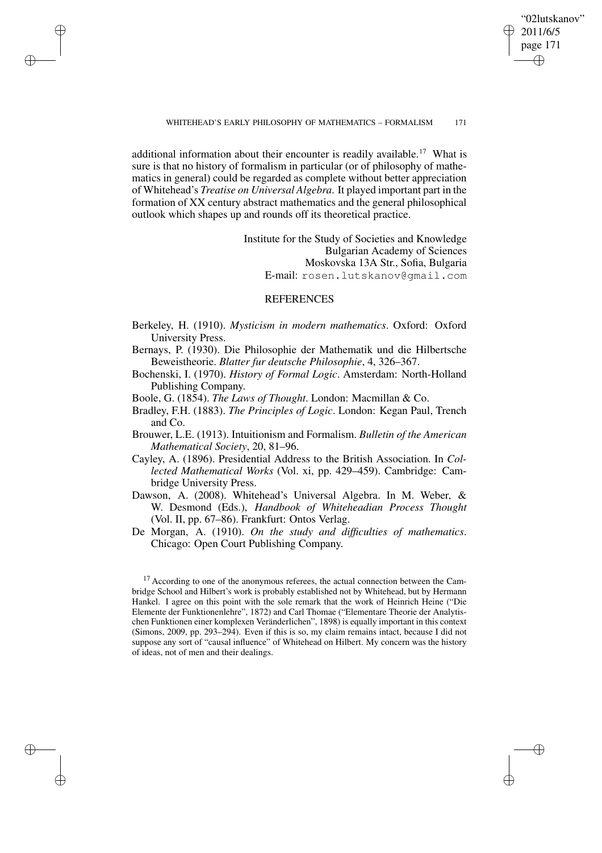"02lutskanov" 2011/6/5 page 171 ✐ ✐

✐

✐

#### WHITEHEAD'S EARLY PHILOSOPHY OF MATHEMATICS – FORMALISM 171

additional information about their encounter is readily available.<sup>17</sup> What is sure is that no history of formalism in particular (or of philosophy of mathematics in general) could be regarded as complete without better appreciation of Whitehead's *Treatise on Universal Algebra*. It played important part in the formation of XX century abstract mathematics and the general philosophical outlook which shapes up and rounds off its theoretical practice.

✐

✐

✐

✐

Institute for the Study of Societies and Knowledge Bulgarian Academy of Sciences Moskovska 13A Str., Sofia, Bulgaria E-mail: rosen.lutskanov@gmail.com

## **REFERENCES**

- Berkeley, H. (1910). *Mysticism in modern mathematics*. Oxford: Oxford University Press.
- Bernays, P. (1930). Die Philosophie der Mathematik und die Hilbertsche Beweistheorie. *Blatter fur deutsche Philosophie*, 4, 326–367.
- Bochenski, I. (1970). *History of Formal Logic*. Amsterdam: North-Holland Publishing Company.
- Boole, G. (1854). *The Laws of Thought*. London: Macmillan & Co.
- Bradley, F.H. (1883). *The Principles of Logic*. London: Kegan Paul, Trench and Co.
- Brouwer, L.E. (1913). Intuitionism and Formalism. *Bulletin of the American Mathematical Society*, 20, 81–96.
- Cayley, A. (1896). Presidential Address to the British Association. In *Collected Mathematical Works* (Vol. xi, pp. 429–459). Cambridge: Cambridge University Press.
- Dawson, A. (2008). Whitehead's Universal Algebra. In M. Weber, & W. Desmond (Eds.), *Handbook of Whiteheadian Process Thought* (Vol. II, pp. 67–86). Frankfurt: Ontos Verlag.
- De Morgan, A. (1910). *On the study and difficulties of mathematics*. Chicago: Open Court Publishing Company.

<sup>17</sup> According to one of the anonymous referees, the actual connection between the Cambridge School and Hilbert's work is probably established not by Whitehead, but by Hermann Hankel. I agree on this point with the sole remark that the work of Heinrich Heine ("Die Elemente der Funktionenlehre", 1872) and Carl Thomae ("Elementare Theorie der Analytischen Funktionen einer komplexen Veränderlichen", 1898) is equally important in this context (Simons, 2009, pp. 293–294). Even if this is so, my claim remains intact, because I did not suppose any sort of "causal influence" of Whitehead on Hilbert. My concern was the history of ideas, not of men and their dealings.